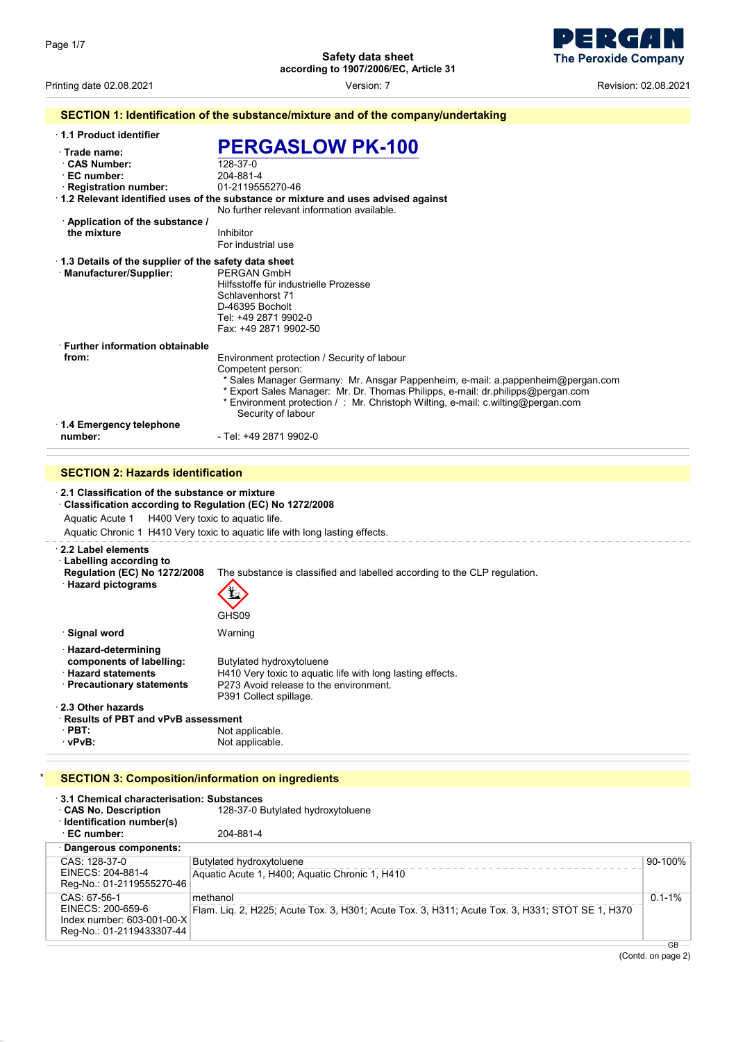

Printing date 02.08.2021 Version: 7 Revision: 02.08.2021

|                                                                                                                                                                   | SECTION 1: Identification of the substance/mixture and of the company/undertaking                                                                                                                                                                                                                                                                |
|-------------------------------------------------------------------------------------------------------------------------------------------------------------------|--------------------------------------------------------------------------------------------------------------------------------------------------------------------------------------------------------------------------------------------------------------------------------------------------------------------------------------------------|
| 1.1 Product identifier                                                                                                                                            |                                                                                                                                                                                                                                                                                                                                                  |
| · Trade name:<br><b>CAS Number:</b><br>⋅ EC number:<br>· Registration number:                                                                                     | <b>PERGASLOW PK-100</b><br>128-37-0<br>204-881-4<br>01-2119555270-46<br>· 1.2 Relevant identified uses of the substance or mixture and uses advised against<br>No further relevant information available.                                                                                                                                        |
| $\cdot$ Application of the substance /<br>the mixture                                                                                                             | Inhibitor<br>For industrial use                                                                                                                                                                                                                                                                                                                  |
| 1.3 Details of the supplier of the safety data sheet<br>· Manufacturer/Supplier:                                                                                  | PERGAN GmbH<br>Hilfsstoffe für industrielle Prozesse<br>Schlavenhorst 71<br>D-46395 Bocholt<br>Tel: +49 2871 9902-0<br>Fax: +49 2871 9902-50                                                                                                                                                                                                     |
| <b>Further information obtainable</b><br>from:                                                                                                                    | Environment protection / Security of labour<br>Competent person:<br>* Sales Manager Germany: Mr. Ansgar Pappenheim, e-mail: a.pappenheim@pergan.com<br>* Export Sales Manager: Mr. Dr. Thomas Philipps, e-mail: dr.philipps@pergan.com<br>* Environment protection / : Mr. Christoph Wilting, e-mail: c.wilting@pergan.com<br>Security of labour |
| 1.4 Emergency telephone<br>number:                                                                                                                                | - Tel: +49 2871 9902-0                                                                                                                                                                                                                                                                                                                           |
| <b>SECTION 2: Hazards identification</b>                                                                                                                          |                                                                                                                                                                                                                                                                                                                                                  |
| 2.1 Classification of the substance or mixture<br>Classification according to Regulation (EC) No 1272/2008<br>H400 Very toxic to aquatic life.<br>Aquatic Acute 1 | Aquatic Chronic 1 H410 Very toxic to aquatic life with long lasting effects.                                                                                                                                                                                                                                                                     |
| 2.2 Label elements<br><b>Labelling according to</b><br><b>Regulation (EC) No 1272/2008</b><br>· Hazard pictograms                                                 | The substance is classified and labelled according to the CLP regulation.<br>GHS09                                                                                                                                                                                                                                                               |
| · Signal word                                                                                                                                                     | Warning                                                                                                                                                                                                                                                                                                                                          |
| · Hazard-determining<br>components of labelling:<br>· Hazard statements<br>· Precautionary statements                                                             | Butylated hydroxytoluene<br>H410 Very toxic to aquatic life with long lasting effects.<br>P273 Avoid release to the environment.<br>P391 Collect spillage.                                                                                                                                                                                       |

· **2.3 Other hazards**

· **Results of PBT and vPvB assessment PBT:** Not applicable.<br>
Not applicable.<br>
Not applicable. Not applicable.

### **SECTION 3: Composition/information on ingredients**

| 3.1 Chemical characterisation: Substances<br>CAS No. Description<br>· Identification number(s)<br>⋅ EC number: | 128-37-0 Butylated hydroxytoluene<br>204-881-4                                                              |             |
|----------------------------------------------------------------------------------------------------------------|-------------------------------------------------------------------------------------------------------------|-------------|
| · Dangerous components:                                                                                        |                                                                                                             |             |
| CAS: 128-37-0<br>EINECS: 204-881-4<br>Reg-No.: 01-2119555270-46                                                | Butylated hydroxytoluene<br>Aquatic Acute 1, H400; Aquatic Chronic 1, H410                                  | 90-100%     |
| CAS: 67-56-1<br>EINECS: 200-659-6<br>Index number: 603-001-00-X<br>Reg-No.: 01-2119433307-44                   | methanol<br>Flam. Lig. 2, H225; Acute Tox. 3, H301; Acute Tox. 3, H311; Acute Tox. 3, H331; STOT SE 1, H370 | $0.1 - 1\%$ |
|                                                                                                                |                                                                                                             | $GB -$      |

(Contd. on page 2)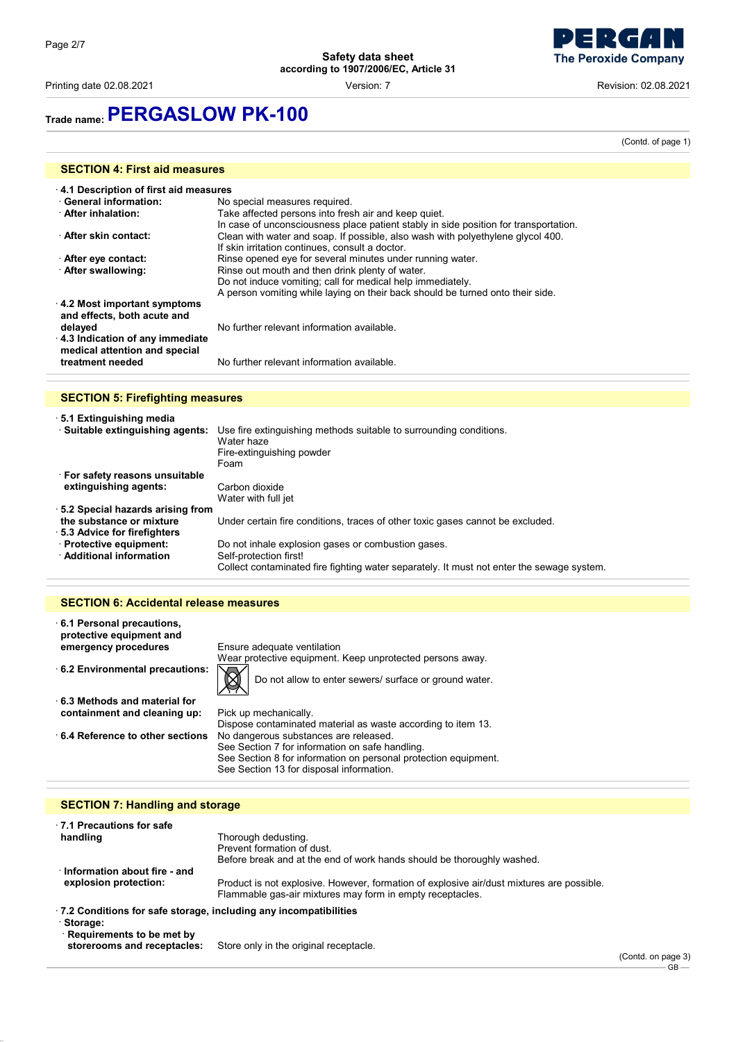**The Peroxide Company** 

Printing date 02.08.2021 Version: 7 Revision: 02.08.2021

## **Trade name:PERGASLOW PK-100**

(Contd. of page 1)

| <b>SECTION 4: First aid measures</b>                                                                     |                                                                                      |  |  |
|----------------------------------------------------------------------------------------------------------|--------------------------------------------------------------------------------------|--|--|
|                                                                                                          | 4.1 Description of first aid measures                                                |  |  |
| <b>General information:</b>                                                                              | No special measures required.                                                        |  |  |
| <b>After inhalation:</b>                                                                                 | Take affected persons into fresh air and keep quiet.                                 |  |  |
|                                                                                                          | In case of unconsciousness place patient stably in side position for transportation. |  |  |
| After skin contact:                                                                                      | Clean with water and soap. If possible, also wash with polyethylene glycol 400.      |  |  |
|                                                                                                          | If skin irritation continues, consult a doctor.                                      |  |  |
| After eye contact:                                                                                       | Rinse opened eye for several minutes under running water.                            |  |  |
| After swallowing:                                                                                        | Rinse out mouth and then drink plenty of water.                                      |  |  |
|                                                                                                          | Do not induce vomiting; call for medical help immediately.                           |  |  |
|                                                                                                          | A person vomiting while laying on their back should be turned onto their side.       |  |  |
| 4.2 Most important symptoms<br>and effects, both acute and<br>delayed<br>4.3 Indication of any immediate | No further relevant information available.                                           |  |  |
| medical attention and special<br>treatment needed                                                        | No further relevant information available.                                           |  |  |

### **SECTION 5: Firefighting measures**

| 5.1 Extinguishing media             |                                                                                                                       |
|-------------------------------------|-----------------------------------------------------------------------------------------------------------------------|
| · Suitable extinguishing agents:    | Use fire extinguishing methods suitable to surrounding conditions.<br>Water haze<br>Fire-extinguishing powder<br>Foam |
| ⋅ For safety reasons unsuitable     |                                                                                                                       |
| extinguishing agents:               | Carbon dioxide<br>Water with full jet                                                                                 |
| 5.2 Special hazards arising from    |                                                                                                                       |
| the substance or mixture            | Under certain fire conditions, traces of other toxic gases cannot be excluded.                                        |
| $\cdot$ 5.3 Advice for firefighters |                                                                                                                       |
| · Protective equipment:             | Do not inhale explosion gases or combustion gases.                                                                    |
| · Additional information            | Self-protection first!                                                                                                |
|                                     | Collect contaminated fire fighting water separately. It must not enter the sewage system.                             |
|                                     |                                                                                                                       |

### **SECTION 6: Accidental release measures**

| $\cdot$ 6.1 Personal precautions,<br>protective equipment and |                                                                       |
|---------------------------------------------------------------|-----------------------------------------------------------------------|
| emergency procedures                                          | Ensure adequate ventilation                                           |
|                                                               | Wear protective equipment. Keep unprotected persons away.             |
| $\cdot$ 6.2 Environmental precautions:                        | $\boxtimes$<br>Do not allow to enter sewers/ surface or ground water. |
| $\cdot$ 6.3 Methods and material for                          |                                                                       |
| containment and cleaning up:                                  | Pick up mechanically.                                                 |
|                                                               | Dispose contaminated material as waste according to item 13.          |
| $\cdot$ 6.4 Reference to other sections.                      | No dangerous substances are released.                                 |
|                                                               | See Section 7 for information on safe handling.                       |
|                                                               | See Section 8 for information on personal protection equipment.       |
|                                                               | See Section 13 for disposal information.                              |

### **SECTION 7: Handling and storage**

| 7.1 Precautions for safe                                                 |                                                                                                                                                        |
|--------------------------------------------------------------------------|--------------------------------------------------------------------------------------------------------------------------------------------------------|
| handling                                                                 | Thorough dedusting.                                                                                                                                    |
|                                                                          | Prevent formation of dust.                                                                                                                             |
|                                                                          | Before break and at the end of work hands should be thoroughly washed.                                                                                 |
| Information about fire - and                                             |                                                                                                                                                        |
| explosion protection:                                                    | Product is not explosive. However, formation of explosive air/dust mixtures are possible.<br>Flammable gas-air mixtures may form in empty receptacles. |
| $\cdot$ 7.2 Conditions for safe storage, including any incompatibilities |                                                                                                                                                        |
| · Storage:                                                               |                                                                                                                                                        |
| Requirements to be met by                                                |                                                                                                                                                        |
| storerooms and receptacles:                                              | Store only in the original receptacle.                                                                                                                 |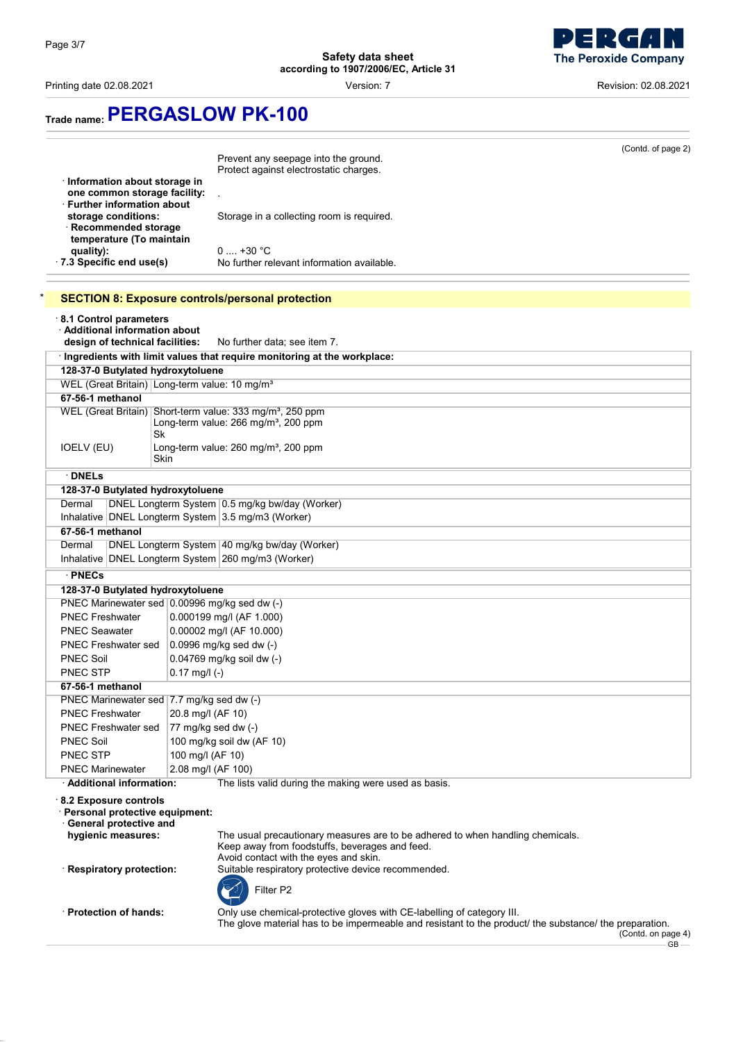

Printing date 02.08.2021 Version: 7 Revision: 02.08.2021

# **Trade name:PERGASLOW PK-100**

| $\cdot$ Information about storage in<br>one common storage facility:<br><b>⋅ Further information about</b><br>storage conditions:<br>Recommended storage<br>temperature (To maintain<br>quality):<br>· 7.3 Specific end use(s) | (Contd. of page 2)<br>Prevent any seepage into the ground.<br>Protect against electrostatic charges.<br>Storage in a collecting room is required.<br>$0 \dots +30 °C$<br>No further relevant information available. |  |
|--------------------------------------------------------------------------------------------------------------------------------------------------------------------------------------------------------------------------------|---------------------------------------------------------------------------------------------------------------------------------------------------------------------------------------------------------------------|--|
|                                                                                                                                                                                                                                | <b>SECTION 8: Exposure controls/personal protection</b>                                                                                                                                                             |  |
| 8.1 Control parameters<br>· Additional information about<br>design of technical facilities:                                                                                                                                    | No further data; see item 7.                                                                                                                                                                                        |  |
|                                                                                                                                                                                                                                | · Ingredients with limit values that require monitoring at the workplace:                                                                                                                                           |  |
| 128-37-0 Butylated hydroxytoluene                                                                                                                                                                                              |                                                                                                                                                                                                                     |  |
| WEL (Great Britain) Long-term value: 10 mg/m <sup>3</sup>                                                                                                                                                                      |                                                                                                                                                                                                                     |  |
| 67-56-1 methanol                                                                                                                                                                                                               |                                                                                                                                                                                                                     |  |
| Sk                                                                                                                                                                                                                             | WEL (Great Britain) Short-term value: 333 mg/m <sup>3</sup> , 250 ppm<br>Long-term value: 266 mg/m <sup>3</sup> , 200 ppm                                                                                           |  |
| IOELV (EU)<br>Skin                                                                                                                                                                                                             | Long-term value: 260 mg/m <sup>3</sup> , 200 ppm                                                                                                                                                                    |  |
| $\cdot$ DNELs                                                                                                                                                                                                                  |                                                                                                                                                                                                                     |  |
| 128-37-0 Butylated hydroxytoluene                                                                                                                                                                                              |                                                                                                                                                                                                                     |  |
| Dermal                                                                                                                                                                                                                         | DNEL Longterm System 0.5 mg/kg bw/day (Worker)                                                                                                                                                                      |  |
|                                                                                                                                                                                                                                | Inhalative DNEL Longterm System 3.5 mg/m3 (Worker)                                                                                                                                                                  |  |
| 67-56-1 methanol                                                                                                                                                                                                               |                                                                                                                                                                                                                     |  |
| DNEL Longterm System 40 mg/kg bw/day (Worker)<br>Dermal<br>Inhalative DNEL Longterm System 260 mg/m3 (Worker)                                                                                                                  |                                                                                                                                                                                                                     |  |
| · PNECs                                                                                                                                                                                                                        |                                                                                                                                                                                                                     |  |
| 128-37-0 Butylated hydroxytoluene                                                                                                                                                                                              |                                                                                                                                                                                                                     |  |
| PNEC Marinewater sed 0.00996 mg/kg sed dw (-)                                                                                                                                                                                  |                                                                                                                                                                                                                     |  |
| <b>PNEC Freshwater</b>                                                                                                                                                                                                         | 0.000199 mg/l (AF 1.000)                                                                                                                                                                                            |  |
| <b>PNEC Seawater</b>                                                                                                                                                                                                           | 0.00002 mg/l (AF 10.000)                                                                                                                                                                                            |  |
| <b>PNEC Freshwater sed</b><br><b>PNEC Soil</b>                                                                                                                                                                                 | 0.0996 mg/kg sed dw (-)<br>0.04769 mg/kg soil dw (-)                                                                                                                                                                |  |
| <b>PNEC STP</b>                                                                                                                                                                                                                | $0.17$ mg/l (-)                                                                                                                                                                                                     |  |
| 67-56-1 methanol                                                                                                                                                                                                               |                                                                                                                                                                                                                     |  |
| PNEC Marinewater sed   7.7 mg/kg sed dw (-)                                                                                                                                                                                    |                                                                                                                                                                                                                     |  |
| <b>PNEC Freshwater</b>                                                                                                                                                                                                         | 20.8 mg/l (AF 10)                                                                                                                                                                                                   |  |
| <b>PNEC Freshwater sed</b>                                                                                                                                                                                                     | 77 mg/kg sed dw (-)                                                                                                                                                                                                 |  |
| <b>PNEC Soil</b>                                                                                                                                                                                                               | 100 mg/kg soil dw (AF 10)                                                                                                                                                                                           |  |
| <b>PNEC STP</b>                                                                                                                                                                                                                | 100 mg/l (AF 10)                                                                                                                                                                                                    |  |
| <b>PNEC Marinewater</b>                                                                                                                                                                                                        | 2.08 mg/l (AF 100)                                                                                                                                                                                                  |  |
| · Additional information:                                                                                                                                                                                                      | The lists valid during the making were used as basis.                                                                                                                                                               |  |
| 8.2 Exposure controls<br>· Personal protective equipment:<br>General protective and<br>hygienic measures:                                                                                                                      | The usual precautionary measures are to be adhered to when handling chemicals.<br>Keep away from foodstuffs, beverages and feed.<br>Avoid contact with the eyes and skin.                                           |  |
| Respiratory protection:                                                                                                                                                                                                        | Suitable respiratory protective device recommended.<br>Filter P2                                                                                                                                                    |  |
| · Protection of hands:                                                                                                                                                                                                         | Only use chemical-protective gloves with CE-labelling of category III.<br>The glove material has to be impermeable and resistant to the product/ the substance/ the preparation.<br>(Contdonn)                      |  |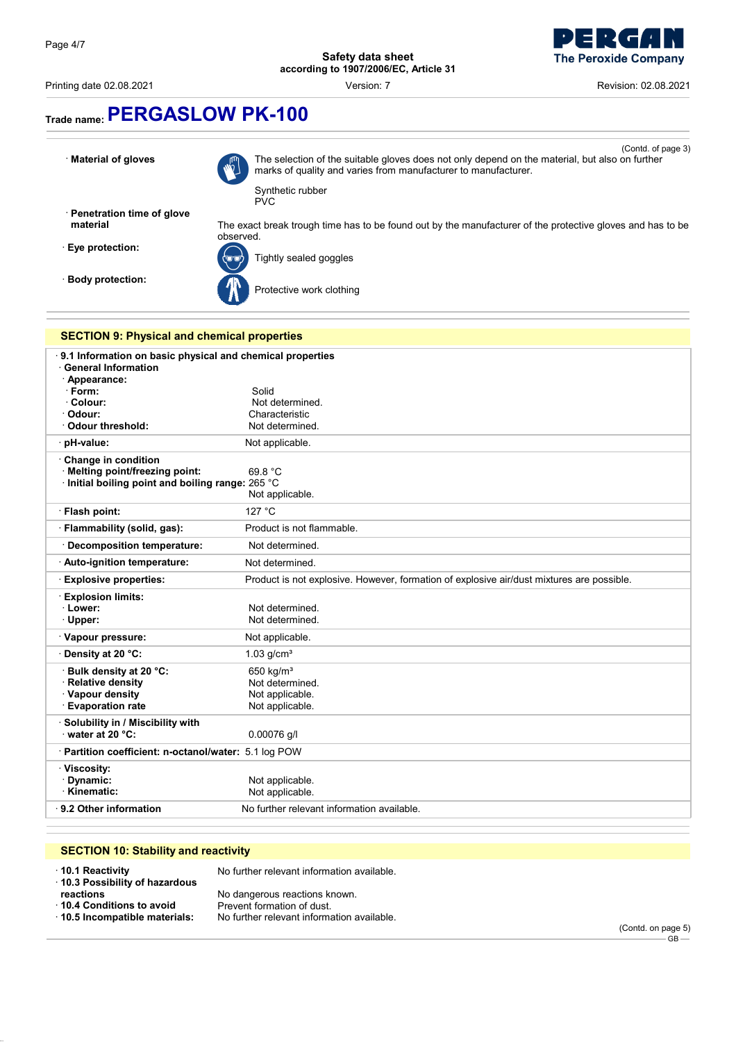

Printing date 02.08.2021 **Version: 7** Version: 7 **Revision: 02.08.2021** Revision: 02.08.2021

# **Trade name:PERGASLOW PK-100**

**Material of gloves** 



(Contd. of page 3) The selection of the suitable gloves does not only depend on the material, but also on further marks of quality and varies from manufacturer to manufacturer. Synthetic rubber

· **Penetration time of glove**

· **Body protection:**



**Eye protection:**  $\overline{\text{Cov}}$  Tightly sealed goggles



Protective work clothing



PVC

| 9.1 Information on basic physical and chemical properties<br><b>General Information</b><br>Appearance:<br>$\cdot$ Form:<br>Colour:<br>· Odour:<br>· Odour threshold: | Solid<br>Not determined.<br>Characteristic<br>Not determined.                             |
|----------------------------------------------------------------------------------------------------------------------------------------------------------------------|-------------------------------------------------------------------------------------------|
| · pH-value:                                                                                                                                                          | Not applicable.                                                                           |
| Change in condition<br>· Melting point/freezing point:<br>Initial boiling point and boiling range: 265 °C                                                            | 69.8 °C<br>Not applicable.                                                                |
| · Flash point:                                                                                                                                                       | 127 °C                                                                                    |
| Flammability (solid, gas):                                                                                                                                           | Product is not flammable.                                                                 |
| <b>Decomposition temperature:</b>                                                                                                                                    | Not determined.                                                                           |
| · Auto-ignition temperature:                                                                                                                                         | Not determined.                                                                           |
| <b>Explosive properties:</b>                                                                                                                                         | Product is not explosive. However, formation of explosive air/dust mixtures are possible. |
| <b>Explosion limits:</b><br>· Lower:<br>· Upper:                                                                                                                     | Not determined.<br>Not determined.                                                        |
| · Vapour pressure:                                                                                                                                                   | Not applicable.                                                                           |
| Density at 20 °C:                                                                                                                                                    | $1.03$ g/cm <sup>3</sup>                                                                  |
| Bulk density at 20 °C:<br>· Relative density<br>· Vapour density<br><b>Evaporation rate</b>                                                                          | 650 kg/ $m3$<br>Not determined.<br>Not applicable.<br>Not applicable.                     |
| Solubility in / Miscibility with<br>water at 20 $°C$ :                                                                                                               | 0.00076 g/l                                                                               |
| Partition coefficient: n-octanol/water: 5.1 log POW                                                                                                                  |                                                                                           |
| · Viscosity:<br>Dynamic:<br>· Kinematic:                                                                                                                             | Not applicable.<br>Not applicable.                                                        |
| ⋅ 9.2 Other information                                                                                                                                              | No further relevant information available.                                                |

### **SECTION 10: Stability and reactivity**

| $\cdot$ 10.1 Reactivity<br>10.3 Possibility of hazardous | No further relevant information available. |
|----------------------------------------------------------|--------------------------------------------|
| reactions                                                | No dangerous reactions known.              |
| 10.4 Conditions to avoid                                 | Prevent formation of dust.                 |
| 10.5 Incompatible materials:                             | No further relevant information available. |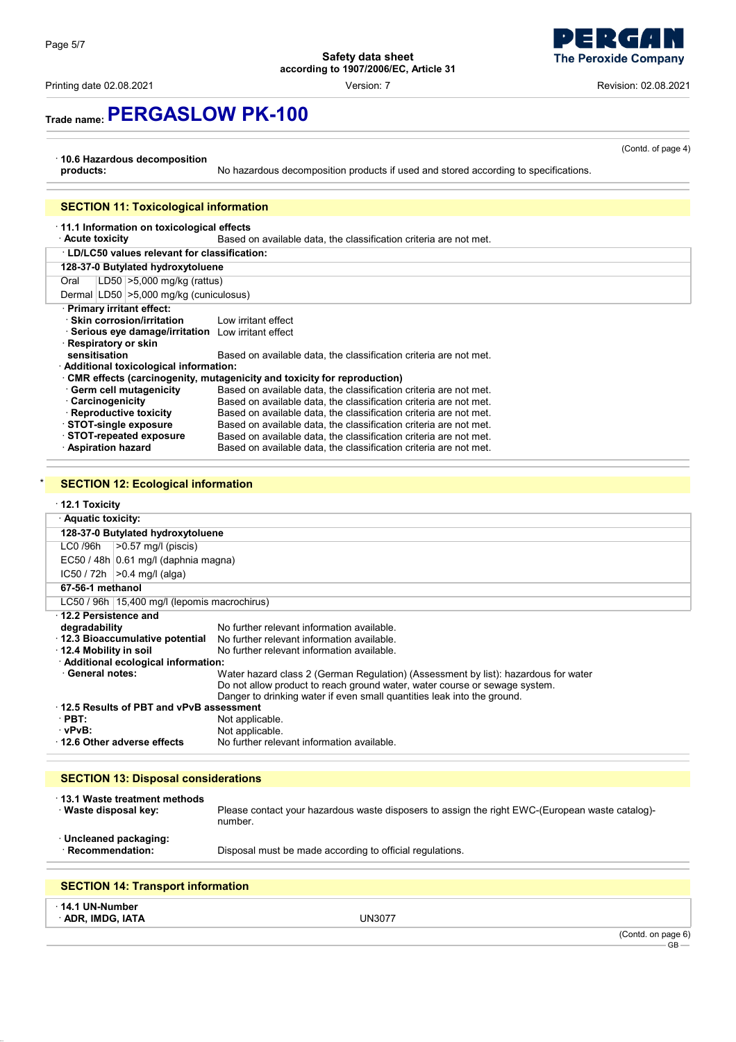Printing date 02.08.2021 **Version: 7** Version: 7 **Revision: 02.08.2021** Revision: 02.08.2021

**The Peroxide Company** 

(Contd. of page 4)

# **Trade name:PERGASLOW PK-100**

### · **10.6 Hazardous decomposition**

No hazardous decomposition products if used and stored according to specifications.

### **SECTION 11: Toxicological information**

### · **11.1 Information on toxicological effects**

Based on available data, the classification criteria are not met.

| <b>LD/LC50 values relevant for classification:</b>                              |                                                                   |  |
|---------------------------------------------------------------------------------|-------------------------------------------------------------------|--|
| 128-37-0 Butylated hydroxytoluene                                               |                                                                   |  |
| $LD50 \geq 5,000 \text{ mg/kg}$ (rattus)<br>Oral                                |                                                                   |  |
|                                                                                 | Dermal LD50 > 5,000 mg/kg (cuniculosus)                           |  |
| · Primary irritant effect:                                                      |                                                                   |  |
| · Skin corrosion/irritation                                                     | Low irritant effect                                               |  |
| · Serious eye damage/irritation Low irritant effect                             |                                                                   |  |
| · Respiratory or skin                                                           |                                                                   |  |
| sensitisation                                                                   | Based on available data, the classification criteria are not met. |  |
| · Additional toxicological information:                                         |                                                                   |  |
| $\cdot$ CMR effects (carcinogenity, mutagenicity and toxicity for reproduction) |                                                                   |  |
| · Germ cell mutagenicity                                                        | Based on available data, the classification criteria are not met. |  |
| · Carcinogenicity                                                               | Based on available data, the classification criteria are not met. |  |
| · Reproductive toxicity                                                         | Based on available data, the classification criteria are not met. |  |
| STOT-single exposure                                                            | Based on available data, the classification criteria are not met. |  |
| STOT-repeated exposure                                                          | Based on available data, the classification criteria are not met. |  |
| <b>Aspiration hazard</b>                                                        | Based on available data, the classification criteria are not met. |  |

### **SECTION 12: Ecological information**

#### · **12.1 Toxicity**

| · Aquatic toxicity:                                                                        |                                                                              |                                                                                                                                                                                                                                                                                                                                                                                       |
|--------------------------------------------------------------------------------------------|------------------------------------------------------------------------------|---------------------------------------------------------------------------------------------------------------------------------------------------------------------------------------------------------------------------------------------------------------------------------------------------------------------------------------------------------------------------------------|
| 128-37-0 Butylated hydroxytoluene                                                          |                                                                              |                                                                                                                                                                                                                                                                                                                                                                                       |
| LC0 /96h                                                                                   | $ >0.57$ mg/l (piscis)                                                       |                                                                                                                                                                                                                                                                                                                                                                                       |
|                                                                                            | $EC50 / 48h   0.61 mg/1$ (daphnia magna)                                     |                                                                                                                                                                                                                                                                                                                                                                                       |
|                                                                                            | $IC50 / 72h$   > 0.4 mg/l (alga)                                             |                                                                                                                                                                                                                                                                                                                                                                                       |
| 67-56-1 methanol                                                                           |                                                                              |                                                                                                                                                                                                                                                                                                                                                                                       |
|                                                                                            | LC50 / 96h   15,400 mg/l (lepomis macrochirus)                               |                                                                                                                                                                                                                                                                                                                                                                                       |
| $\cdot$ 12.2 Persistence and<br>degradability<br>12.4 Mobility in soil<br>· General notes: | $\cdot$ 12.3 Bioaccumulative potential<br>Additional ecological information: | No further relevant information available.<br>No further relevant information available.<br>No further relevant information available.<br>Water hazard class 2 (German Regulation) (Assessment by list): hazardous for water<br>Do not allow product to reach ground water, water course or sewage system.<br>Danger to drinking water if even small quantities leak into the ground. |
| 12.5 Results of PBT and vPvB assessment                                                    |                                                                              |                                                                                                                                                                                                                                                                                                                                                                                       |
| $\cdot$ PBT:                                                                               |                                                                              | Not applicable.                                                                                                                                                                                                                                                                                                                                                                       |
| vPvB:                                                                                      |                                                                              | Not applicable.                                                                                                                                                                                                                                                                                                                                                                       |
|                                                                                            | $\cdot$ 12.6 Other adverse effects                                           | No further relevant information available.                                                                                                                                                                                                                                                                                                                                            |

### **SECTION 13: Disposal considerations**

| 13.1 Waste treatment methods<br>· Waste disposal key: | Please contact your hazardous waste disposers to assign the right EWC-(European waste catalog)-<br>number. |
|-------------------------------------------------------|------------------------------------------------------------------------------------------------------------|
| Uncleaned packaging:<br>· Recommendation:             | Disposal must be made according to official regulations.                                                   |
|                                                       |                                                                                                            |

### **SECTION 14: Transport information**

· **14.1 UN-Number**

· **ADR, IMDG, IATA** UN3077

(Contd. on page 6) GB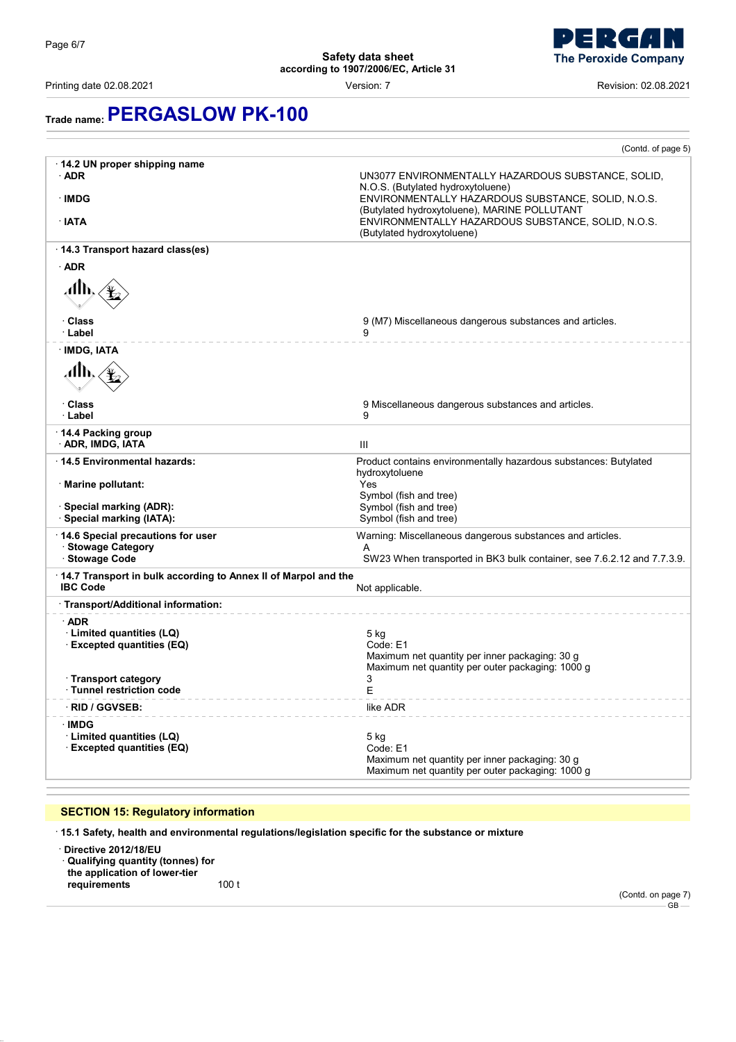

# **Trade name:PERGASLOW PK-100**

|                                                                             | (Contd. of page 5)                                                                                                                                                                                                                                                                |
|-----------------------------------------------------------------------------|-----------------------------------------------------------------------------------------------------------------------------------------------------------------------------------------------------------------------------------------------------------------------------------|
| 14.2 UN proper shipping name<br>$\cdot$ ADR<br>· IMDG<br>∙ IATA             | UN3077 ENVIRONMENTALLY HAZARDOUS SUBSTANCE, SOLID,<br>N.O.S. (Butylated hydroxytoluene)<br>ENVIRONMENTALLY HAZARDOUS SUBSTANCE, SOLID, N.O.S.<br>(Butylated hydroxytoluene), MARINE POLLUTANT<br>ENVIRONMENTALLY HAZARDOUS SUBSTANCE, SOLID, N.O.S.<br>(Butylated hydroxytoluene) |
| 14.3 Transport hazard class(es)                                             |                                                                                                                                                                                                                                                                                   |
| $\cdot$ ADR                                                                 |                                                                                                                                                                                                                                                                                   |
| ℳ℩<br>· Class                                                               | 9 (M7) Miscellaneous dangerous substances and articles.                                                                                                                                                                                                                           |
| ∙ Label                                                                     | 9                                                                                                                                                                                                                                                                                 |
| · IMDG, IATA<br>Alb.                                                        |                                                                                                                                                                                                                                                                                   |
| <b>· Class</b><br>· Label                                                   | 9 Miscellaneous dangerous substances and articles.<br>9                                                                                                                                                                                                                           |
| 14.4 Packing group<br>· ADR, IMDG, IATA                                     | Ш                                                                                                                                                                                                                                                                                 |
| 14.5 Environmental hazards:                                                 | Product contains environmentally hazardous substances: Butylated                                                                                                                                                                                                                  |
| · Marine pollutant:                                                         | hydroxytoluene<br>Yes<br>Symbol (fish and tree)                                                                                                                                                                                                                                   |
| · Special marking (ADR):                                                    | Symbol (fish and tree)                                                                                                                                                                                                                                                            |
| · Special marking (IATA):                                                   | Symbol (fish and tree)                                                                                                                                                                                                                                                            |
| 14.6 Special precautions for user<br>· Stowage Category<br>· Stowage Code   | Warning: Miscellaneous dangerous substances and articles.<br>A<br>SW23 When transported in BK3 bulk container, see 7.6.2.12 and 7.7.3.9.                                                                                                                                          |
| 14.7 Transport in bulk according to Annex II of Marpol and the              |                                                                                                                                                                                                                                                                                   |
| <b>IBC Code</b>                                                             | Not applicable.                                                                                                                                                                                                                                                                   |
| · Transport/Additional information:                                         |                                                                                                                                                                                                                                                                                   |
| $\cdot$ ADR<br>· Limited quantities (LQ)<br><b>Excepted quantities (EQ)</b> | $5$ kg<br>Code: E1<br>Maximum net quantity per inner packaging: 30 g<br>Maximum net quantity per outer packaging: 1000 g                                                                                                                                                          |
| <b>Transport category</b><br>· Tunnel restriction code                      | 3<br>E                                                                                                                                                                                                                                                                            |
| <b>RID / GGVSEB:</b>                                                        | like ADR                                                                                                                                                                                                                                                                          |
| · IMDG                                                                      |                                                                                                                                                                                                                                                                                   |
| · Limited quantities (LQ)<br><b>Excepted quantities (EQ)</b>                | $5$ kg<br>Code: E1<br>Maximum net quantity per inner packaging: 30 g<br>Maximum net quantity per outer packaging: 1000 g                                                                                                                                                          |

### **SECTION 15: Regulatory information**

· **15.1 Safety, health and environmental regulations/legislation specific for the substance or mixture**

· **Directive 2012/18/EU** · **Qualifying quantity (tonnes) for the application of lower-tier requirements** 100 t

(Contd. on page 7)

 $-$ GB $-$